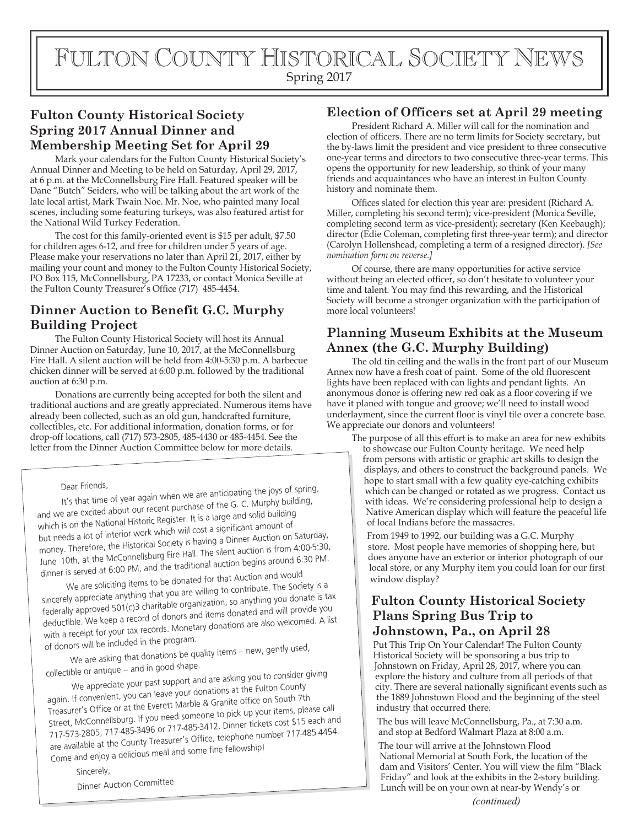# FULTON COUNTY HISTORICAL SOCIETY NEWS

Spring 2017

# **Fulton County Historical Society Spring 2017 Annual Dinner and Membership Meeting Set for April 29**

Mark your calendars for the Fulton County Historical Society's Annual Dinner and Meeting to be held on Saturday, April 29, 2017, at 6 p.m. at the McConnellsburg Fire Hall. Featured speaker will be Dane "Butch" Seiders, who will be talking about the art work of the late local artist, Mark Twain Noe. Mr. Noe, who painted many local scenes, including some featuring turkeys, was also featured artist for the National Wild Turkey Federation.

The cost for this family-oriented event is \$15 per adult, \$7.50 for children ages 6-12, and free for children under 5 years of age. Please make your reservations no later than April 21, 2017, either by mailing your count and money to the Fulton County Historical Society, PO Box 115, McConnellsburg, PA 17233, or contact Monica Seville at the Fulton County Treasurer's Office (717) 485-4454.

# **Dinner Auction to Benefit G.C. Murphy Building Project**

The Fulton County Historical Society will host its Annual Dinner Auction on Saturday, June 10, 2017, at the McConnellsburg Fire Hall. A silent auction will be held from 4:00-5:30 p.m. A barbecue chicken dinner will be served at 6:00 p.m. followed by the traditional auction at 6:30 p.m.

Donations are currently being accepted for both the silent and traditional auctions and are greatly appreciated. Numerous items have already been collected, such as an old gun, handcrafted furniture, collectibles, etc. For additional information, donation forms, or for drop-off locations, call (717) 573-2805, 485-4430 or 485-4454. See the letter from the Dinner Auction Committee below for more details.

#### Dear Friends,

It's that time of year again when we are anticipating the joys of spring, and we are excited about our recent purchase of the G. C. Murphy building, which is on the National Historic Register. It is a large and solid building but needs a lot of interior work which will cost a significant amount of money. Therefore, the Historical Society is having a Dinner Auction on Saturday, June 10th, at the McConnellsburg Fire Hall. The silent auction is from 4:00-5:30, dinner is served at 6:00 PM, and the traditional auction begins around 6:30 PM.

We are soliciting items to be donated for that Auction and would sincerely appreciate anything that you are willing to contribute. The Society is a federally approved 501(c)3 charitable organization, so anything you donate is tax deductible. We keep a record of donors and items donated and will provide you with a receipt for your tax records. Monetary donations are also welcomed. A list of donors will be included in the program.

We are asking that donations be quality items – new, gently used, collectible or antique – and in good shape.

We appreciate your past support and are asking you to consider giving

again. If convenient, you can leave your donations at the Fulton County Treasurer's Office or at the Everett Marble & Granite office on South 7th Street, McConnellsburg. If you need someone to pick up your items, please call 717-573-2805, 717-485-3496 or 717-485-3412. Dinner tickets cost \$15 each and are available at the County Treasurer's Office, telephone number 717-485-4454. Come and enjoy a delicious meal and some fine fellowship!

Sincerely,

Dinner Auction Committee

#### **Election of Officers set at April 29 meeting**

President Richard A. Miller will call for the nomination and election of officers. There are no term limits for Society secretary, but the by-laws limit the president and vice president to three consecutive one-year terms and directors to two consecutive three-year terms. This opens the opportunity for new leadership, so think of your many friends and acquaintances who have an interest in Fulton County history and nominate them.

Offices slated for election this year are: president (Richard A. Miller, completing his second term); vice-president (Monica Seville, completing second term as vice-president); secretary (Ken Keebaugh); director (Edie Coleman, completing first three-year term); and director (Carolyn Hollenshead, completing a term of a resigned director). *[See nomination form on reverse.]*

Of course, there are many opportunities for active service without being an elected officer, so don't hesitate to volunteer your time and talent. You may find this rewarding, and the Historical Society will become a stronger organization with the participation of more local volunteers!

### **Planning Museum Exhibits at the Museum Annex (the G.C. Murphy Building)**

The old tin ceiling and the walls in the front part of our Museum Annex now have a fresh coat of paint. Some of the old fluorescent lights have been replaced with can lights and pendant lights. An anonymous donor is offering new red oak as a floor covering if we have it planed with tongue and groove; we'll need to install wood underlayment, since the current floor is vinyl tile over a concrete base. We appreciate our donors and volunteers!

The purpose of all this effort is to make an area for new exhibits to showcase our Fulton County heritage. We need help from persons with artistic or graphic art skills to design the displays, and others to construct the background panels. We hope to start small with a few quality eye-catching exhibits which can be changed or rotated as we progress. Contact us with ideas. We're considering professional help to design a Native American display which will feature the peaceful life of local Indians before the massacres.

From 1949 to 1992, our building was a G.C. Murphy store. Most people have memories of shopping here, but does anyone have an exterior or interior photograph of our local store, or any Murphy item you could loan for our first window display?

### **Fulton County Historical Society Plans Spring Bus Trip to Johnstown, Pa., on April 28**

Put This Trip On Your Calendar! The Fulton County Historical Society will be sponsoring a bus trip to Johnstown on Friday, April 28, 2017, where you can explore the history and culture from all periods of that city. There are several nationally significant events such as the 1889 Johnstown Flood and the beginning of the steel industry that occurred there.

The bus will leave McConnellsburg, Pa., at 7:30 a.m. and stop at Bedford Walmart Plaza at 8:00 a.m.

The tour will arrive at the Johnstown Flood National Memorial at South Fork, the location of the dam and Visitors' Center. You will view the film "Black Friday" and look at the exhibits in the 2-story building. Lunch will be on your own at near-by Wendy's or